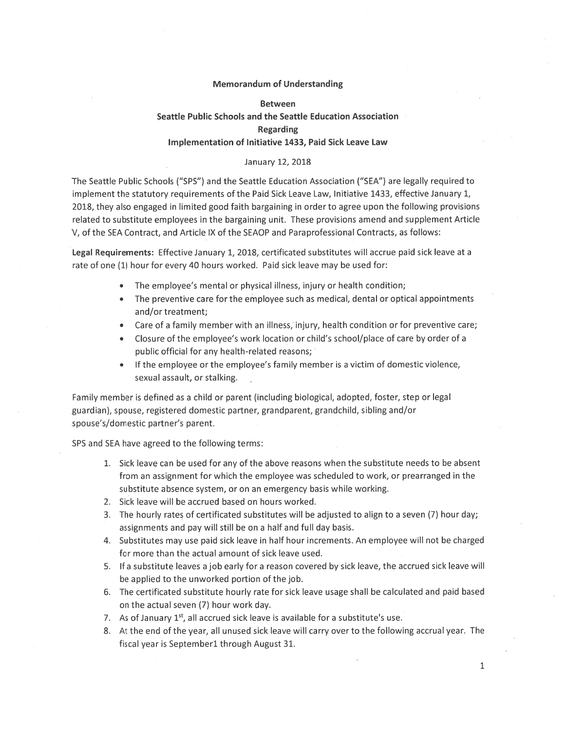### Memorandum of Understanding

#### Between

### Seattle Public Schools and the Seattle Education Association

#### Regarding

## Implementation of Initiative 1433, Paid Sick Leave Law

# January 12, 2018

The Seattle Public Schools ("SPS") and the Seattle Education Association ("SEA") are legally required to implement the statutory requirements of the Paid Sick Leave Law, Initiative 1433, effective January 1, 2018, they also engaged in limited good faith bargaining in order to agree upon the following provisions related to substitute employees in the bargaining unit. These provisions amend and supplement Article V, of the SEA Contract, and Article IX of the SEAOP and Paraprofessional Contracts, as follows:

Legal Requirements: Effective January 1, 2018, certificated substitutes will accrue paid sick leave at <sup>a</sup> rate of one (1) hour for every 40 hours worked. Paid sick leave may be used for:

- •The employee's mental or physical illness, injury or health condition;
- The preventive care for the employee such as medical, dental or optical appointments and/or treatment;
- •Care of <sup>a</sup> family member with an illness, injury, health condition or for preventive care;
- • Closure of the employee's work location or child's school/place of care by order of <sup>a</sup> public official for any health-related reasons;
- If the employee or the employee's family member is a victim of domestic violence, sexual assault, or stalking.

Family member is defined as <sup>a</sup> child or paren<sup>t</sup> (including biological, adopted, foster, step or legal guardian), spouse, registered domestic partner, grandparent, grandchild, sibling and/or spouse's/domestic partner's parent.

SPS and SEA have agreed to the following terms:

- 1. Sick leave can be used for any of the above reasons when the substitute needs to be absent from an assignment for which the employee was scheduled to work, or prearranged in the substitute absence system, or on an emergency basis while working.
- 2. Sick leave will be accrued based on hours worked.
- 3. The hourly rates of certificated substitutes will be adjusted to align to <sup>a</sup> seven (7) hour day; assignments and pay will still be on <sup>a</sup> half and full day basis.
- 4. Substitutes may use paid sick leave in half hour increments. An employee will not be charged for more than the actual amount of sick leave used.
- 5. If a substitute leaves a job early for a reason covered by sick leave, the accrued sick leave will be applied to the unworked portion of the job.
- 6. The certificated substitute hourly rate for sick leave usage shall be calculated and paid based on the actual seven (7) hour work day.
- 7. As of January 1<sup>st</sup>, all accrued sick leave is available for a substitute's use.
- 8. At the end of the year, all unused sick leave will carry over to the following accrual year. The fiscal year is Septemberl through August 31.

1